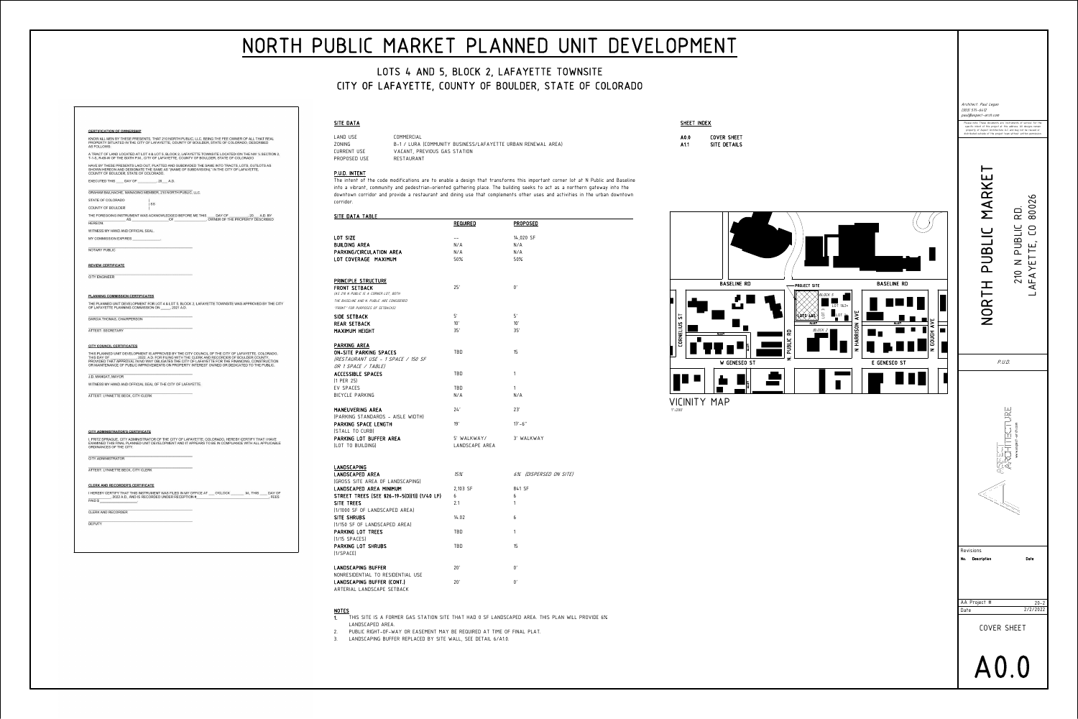## SITE DATA

|                 | <b>BASELINE</b><br><b>RD</b> |  |  |              |  |                |  |              |
|-----------------|------------------------------|--|--|--------------|--|----------------|--|--------------|
|                 | <b>CORNELIUS ST</b>          |  |  | <b>ALLEY</b> |  |                |  | <b>ALLEY</b> |
|                 |                              |  |  | W            |  | <b>GENESEO</b> |  |              |
|                 |                              |  |  |              |  |                |  | <b>ALLEY</b> |
| VICINITY<br>MAP |                              |  |  |              |  |                |  |              |

LAND USE COMMERCIAL PROPOSED USE

ZONING B-1 / LURA (COMMUNITY BUSINESS/LAFAYETTE URBAN RENEWAL AREA) VACANT, PREVIOUS GAS STATION<br>RESTAURANT



LOT SIZEBUILDING AREAPARKING/CIRCULA LOT COVERAGE

PRINCIPLE STRUCT FRONT SETBACK(AS 210 N PUBLIC IS A COI

# LOTS 4 AND 5, BLOCK 2, LAFAYETTE TOWNSITE CITY OF LAFAYETTE, COUNTY OF BOULDER, STATE OF COLORADO

THE BASELINE AND N. PUB "FRONT" FOR PURPOSES L SIDE SETBACK

PARKING AREA ON-SITE PARKING SPACES(RESTAURANT US OR 1 SPACE / TAL ACCESSIBLE SPAC (1 PER 25)EV SPACESBICYCLE PARKING

MANEUVERING AR (PARKING STANDA PARKING SPACE I (STALL TO CURB)PARKING LOT BUF (LOT TO BUILDING)

P.U.D. INTENTcorridor.

 The intent of the code modifications are to enable a design that transforms this important corner lot at N Public and Baseline into a vibrant, community and pedestrian-oriented gathering place. The building seeks to act as a northern gateway into the downtown corridor and provide a restaurant and dining use that complements other uses and activities in the urban downtown

SITE DATA TABLE

REAR SETBACKMAXIMUM HEIGHT

| UIIL DIIIII IIIDLL                                      |                 |                        |
|---------------------------------------------------------|-----------------|------------------------|
|                                                         | <b>REQUIRED</b> | <b>PROPOSED</b>        |
|                                                         |                 |                        |
| LOT SIZE                                                | $- -$           | 14,020 SF              |
| BUILDING AREA                                           | N/A             | N/A                    |
| PARKING/CIRCULATION AREA                                | N/A             | N/A                    |
| LOT COVERAGE MAXIMUM                                    | $50\%$          | 50%                    |
|                                                         |                 |                        |
| PRINCIPLE STRUCTURE                                     |                 |                        |
| FRONT SETBACK<br>(AS 210 N PUBLIC IS A CORNER LOT, BOTH | 25'             | $0^{\prime}$           |
| THE BASELINE AND N. PUBLIC ARE CONSIDERED               |                 |                        |
| "FRONT" FOR PURPOSES OF SETBACKS)                       |                 |                        |
|                                                         | 5'              | 5'                     |
| SIDE SETBACK                                            |                 |                        |
| REAR SETBACK                                            | 10'             | 10'<br>35'             |
| MAXIMUM HEIGHT                                          | 35'             |                        |
| PARKING AREA                                            |                 |                        |
| ON-SITE PARKING SPACES                                  | TBD             | 15                     |
| (RESTAURANT USE – 1 SPACE / 150 SF                      |                 |                        |
| OR 1 SPACE / TABLE)                                     |                 |                        |
| <b>ACCESSIBLE SPACES</b>                                | <b>TBD</b>      | 1                      |
| (1 PER 25)                                              |                 |                        |
| EV SPACES                                               | <b>TBD</b>      | 1                      |
| BICYCLE PARKING                                         | N/A             | N/A                    |
| MANEUVERING AREA                                        | 24'             | 23'                    |
| (PARKING STANDARDS - AISLE WIDTH)                       |                 |                        |
| PARKING SPACE LENGTH                                    | 19'             | $17' - 6''$            |
| (STALL TO CURB)                                         |                 |                        |
| PARKING LOT BUFFER AREA                                 | 5' WALKWAY/     | 3' WALKWAY             |
| (LOT TO BUILDING)                                       | LANDSCAPE AREA  |                        |
|                                                         |                 |                        |
| LANDSCAPING                                             |                 |                        |
| LANDSCAPED AREA                                         | 15%             | 6% (DISPERSED ON SITE) |
| (GROSS SITE AREA OF LANDSCAPING)                        |                 |                        |
| LANDSCAPED AREA MINIMUM                                 | 2,103 SF        | 841 SF                 |
| STREET TREES [SEE §26-19-5(D)(1)] (1/40 LF)             | 6               | 6                      |

LANDSCAPING LANDSCAPED AREA(GROSS SITE AREA LANDSCAPED ARE SITE TREES 2.1 (1/1000 SF OF LANDSCAPED AREA)SITE SHRUBS 14.02 (1/150 SF OF LANDSCAPED AREA)PARKING LOT TREES TBD (1/15 SPACES)PARKING LOT SHRUBS TBD (1/SPACE)

|                             | 15%      | 6% (DISPERSED ON SITE) |
|-----------------------------|----------|------------------------|
| F LANDSCAPING)              |          |                        |
| <b>MUMININ</b>              | 2,103 SF | 841 SF                 |
| $$26-19-5(D)(1)]$ (1/40 LF) | 6        | 6                      |
|                             | 2.1      | 1                      |
| CAPED AREA)                 |          |                        |
|                             | 14.02    | 6                      |
| APED AREA)                  |          |                        |
|                             | TBD      | 1                      |
|                             |          |                        |
| $\mathsf{S}$                | TBD      | 15                     |
|                             |          |                        |
|                             |          |                        |
| R                           | 20'      | 0'                     |
| RESIDENTIAL USE             |          |                        |
| R (CONT.)                   | 20'      | 0'                     |
| F SFTRATK                   |          |                        |

LANDSCAPING BUFFERNONRESIDENTIAL TO RESIDENTIAL USELANDSCAPING BUFFER (CONT.)ARTERIAL LANDSCAPE SETBACK

### NOTES

1. THIS SITE IS A FORMER GAS STATION SITE THAT HAD 0 SF LANDSCAPED AREA. THIS PLAN WILL PROVIDE 6%

- 
- LANDSCAPED AREA.
- 

#### KNOW ALL MEN BY THESE PRESENTS, THAT 210 NORTH PUBLIC, LLC, BEING THE FEE OWNER OF ALL THAT REAL PROPERTY SITUATED IN THE CITY OF LAFAYETTE, COUNTY OF BOULDER, STATE OF COLORADO, DESCRIBED **AS FOLLOWS:**

A TRACT OF LAND LOCATED AT LOT 4 & LOT 5, BLOCK 2, LAFAYETTE TOWNSITE LOCATED ION THE NW 1⁄4 SECTION 2,<br>T-1-S, R-69-W OF THE SIXTH P.M., CITY OF LAFAYETTE, COUNTY OF BOULDER, STATE OF COLORADO HAVE BY THESE PRESENTS LAID OUT, PLATTED AND SUBDIVIDED THE SAME INTO TRACTS, LOTS, OUTLOTS AS SHOWN HEREON AND DESIGNATE THE SAME AS "(NAME OF SUBDIVISION)," IN THE CITY OF LAFAYETTE,

COUNTY OF BOULDER, STATE OF COLORADO. EXECUTED THIS \_\_\_\_\_ DAY OF \_\_\_\_\_\_\_\_\_\_, 20\_\_\_ A.D.

GRAHAM BAILHACHE, MANAGING MEMBER, 210 NORTH PUBLIC, LLC.

STATE OF COLORADO  $)$  SS COUNTY OF BOULDER

**CERTIFICATION OF OWNERSHIP** 

THE FOREGOING INSTRUMENT WAS ACKNOWLEDGED BEFORE ME THIS \_\_\_\_ DAY OF , 20 A.D. BY OWNER OF THE PROPERTY DESCRIBED  $OF$ **HEREON** 

WITNESS MY HAND AND OFFICIAL SEAL

MY COMMISSION EXPIRES

NOTARY PUBLIC

**REVIEW CERTIFICATE** 

**CITY ENGINEER** 

**PLANNING COMMISSION CERTIFICATES** 

THE PLANNED UNIT DEVELOPMENT FOR LOT 4 & LOT 5, BLOCK 2, LAFAYETTE TOWNSITE WAS APPROVED BY THE CITY OF LAFAYETTE PLANNING COMMISSION ON \_\_\_\_\_\_, 2021 A.D.

DARCIA THOMAS, CHAIRPERSON

**ATTEST: SECRETARY** 

**CITY COUNCIL CERTIFICATES** 

THIS PLANNED UNIT DEVELOPMENT IS APPROVED BY THE CITY COUNCIL OF THE CITY OF LAFAYETTE, COLORADO, , 2022, A.D. FOR FILING WITH THE CLERK AND RECORDER OF BOULDER COUNTY. THIS DAY OF PROVIDED THAT APPROVAL IN NO WAY OBLIGATES THE CITY OF LAFAYETTE FOR THE FINANCING, CONSTRUCTION OR MAINTENANCE OF PUBLIC IMPROVEMENTS ON PROPERTY INTEREST OWNED OR DEDICATED TO THE PUBLIC.

J.D. MANGAT, MAYOR

WITNESS MY HAND AND OFFICIAL SEAL OF THE CITY OF LAFAYETTE.

ATTEST: LYNNETTE BECK, CITY CLERK

#### **CITY ADMINISTRATOR'S CERTIFICATE**

I, FRITZ SPRAGUE, CITY ADMINISTRATOR OF THE CITY OF LAFAYETTE, COLORADO, HEREBY CERTIFY THAT I HAVE EXAMINED THIS FINAL PLANNED UNIT DEVELOPMENT AND IT APPEARS TO BE IN COMPLIANCE WITH ALL APPLICABLE ORDINANCES OF THE CITY.

**CITY ADMINISTRATOR** 

ATTEST: LYNNETTE BECK, CITY CLERK

#### **CLERK AND RECORDER'S CERTIFICATE**

I HEREBY CERTIFY THAT THIS INSTRUMENT WAS FILED IN MY OFFICE AT \_\_\_ O'CLOCK \_\_\_\_\_\_\_\_ .M., THIS \_\_\_\_ DAY OF  $\overline{\phantom{0}}$ , 2022 A.D., AND IS RECORDED UNDER RECEPTION # , FEES PAID \$

**CLERK AND RECORDER** 

**DEPUTY** 

2. PUBLIC RIGHT-OF-WAY OR EASEMENT MAY BE REQUIRED AT TIME OF FINAL PLAT.

3. LANDSCAPING BUFFER REPLACED BY SITE WALL, SEE DETAIL 6/A1.0.

1"=200'

# NORTH PUBLIC MARKET PLANNED UNIT DEVELOPMENT

SHEET INDEX

A0.0

COVER SHEET

A1.1

SITE DETAILS